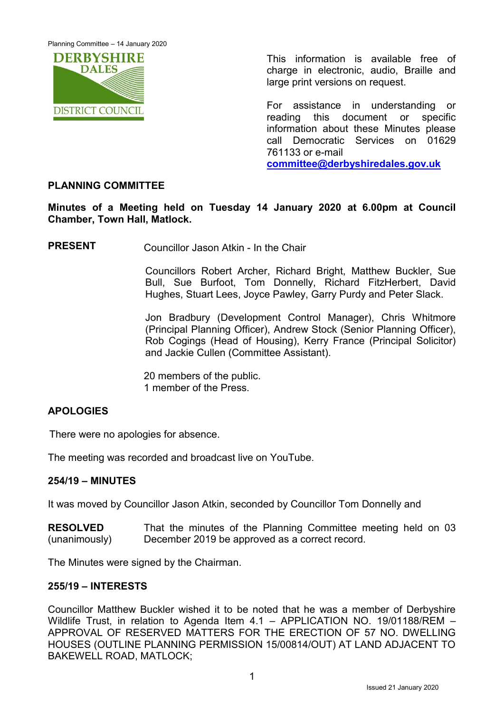Planning Committee – 14 January 2020



This information is available free of charge in electronic, audio, Braille and large print versions on request.

For assistance in understanding or reading this document or specific information about these Minutes please call Democratic Services on 01629 761133 or e-mail **[committee@derbyshiredales.gov.uk](mailto:committee@derbyshiredales.gov.uk)**

# **PLANNING COMMITTEE**

**Minutes of a Meeting held on Tuesday 14 January 2020 at 6.00pm at Council Chamber, Town Hall, Matlock.**

**PRESENT** Councillor Jason Atkin - In the Chair

Councillors Robert Archer, Richard Bright, Matthew Buckler, Sue Bull, Sue Burfoot, Tom Donnelly, Richard FitzHerbert, David Hughes, Stuart Lees, Joyce Pawley, Garry Purdy and Peter Slack.

Jon Bradbury (Development Control Manager), Chris Whitmore (Principal Planning Officer), Andrew Stock (Senior Planning Officer), Rob Cogings (Head of Housing), Kerry France (Principal Solicitor) and Jackie Cullen (Committee Assistant).

20 members of the public. 1 member of the Press.

## **APOLOGIES**

There were no apologies for absence.

The meeting was recorded and broadcast live on YouTube.

## **254/19 – MINUTES**

It was moved by Councillor Jason Atkin, seconded by Councillor Tom Donnelly and

**RESOLVED** (unanimously) That the minutes of the Planning Committee meeting held on 03 December 2019 be approved as a correct record.

The Minutes were signed by the Chairman.

#### **255/19 – INTERESTS**

Councillor Matthew Buckler wished it to be noted that he was a member of Derbyshire Wildlife Trust, in relation to Agenda Item 4.1 – APPLICATION NO. 19/01188/REM – APPROVAL OF RESERVED MATTERS FOR THE ERECTION OF 57 NO. DWELLING HOUSES (OUTLINE PLANNING PERMISSION 15/00814/OUT) AT LAND ADJACENT TO BAKEWELL ROAD, MATLOCK;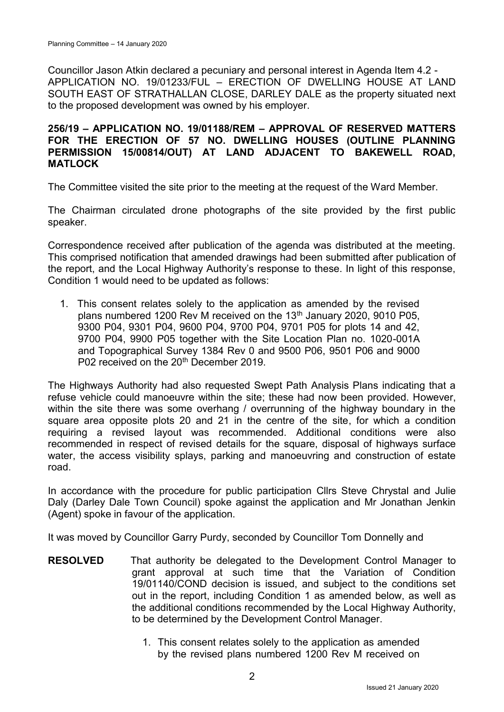Councillor Jason Atkin declared a pecuniary and personal interest in Agenda Item 4.2 - APPLICATION NO. 19/01233/FUL – ERECTION OF DWELLING HOUSE AT LAND SOUTH EAST OF STRATHALLAN CLOSE, DARLEY DALE as the property situated next to the proposed development was owned by his employer.

### **256/19 – APPLICATION NO. 19/01188/REM – APPROVAL OF RESERVED MATTERS FOR THE ERECTION OF 57 NO. DWELLING HOUSES (OUTLINE PLANNING PERMISSION 15/00814/OUT) AT LAND ADJACENT TO BAKEWELL ROAD, MATLOCK**

The Committee visited the site prior to the meeting at the request of the Ward Member.

The Chairman circulated drone photographs of the site provided by the first public speaker.

Correspondence received after publication of the agenda was distributed at the meeting. This comprised notification that amended drawings had been submitted after publication of the report, and the Local Highway Authority's response to these. In light of this response, Condition 1 would need to be updated as follows:

1. This consent relates solely to the application as amended by the revised plans numbered 1200 Rev M received on the 13<sup>th</sup> January 2020, 9010 P05, 9300 P04, 9301 P04, 9600 P04, 9700 P04, 9701 P05 for plots 14 and 42, 9700 P04, 9900 P05 together with the Site Location Plan no. 1020-001A and Topographical Survey 1384 Rev 0 and 9500 P06, 9501 P06 and 9000 P02 received on the 20<sup>th</sup> December 2019.

The Highways Authority had also requested Swept Path Analysis Plans indicating that a refuse vehicle could manoeuvre within the site; these had now been provided. However, within the site there was some overhang / overrunning of the highway boundary in the square area opposite plots 20 and 21 in the centre of the site, for which a condition requiring a revised layout was recommended. Additional conditions were also recommended in respect of revised details for the square, disposal of highways surface water, the access visibility splays, parking and manoeuvring and construction of estate road.

In accordance with the procedure for public participation Cllrs Steve Chrystal and Julie Daly (Darley Dale Town Council) spoke against the application and Mr Jonathan Jenkin (Agent) spoke in favour of the application.

It was moved by Councillor Garry Purdy, seconded by Councillor Tom Donnelly and

- **RESOLVED** That authority be delegated to the Development Control Manager to grant approval at such time that the Variation of Condition 19/01140/COND decision is issued, and subject to the conditions set out in the report, including Condition 1 as amended below, as well as the additional conditions recommended by the Local Highway Authority, to be determined by the Development Control Manager.
	- 1. This consent relates solely to the application as amended by the revised plans numbered 1200 Rev M received on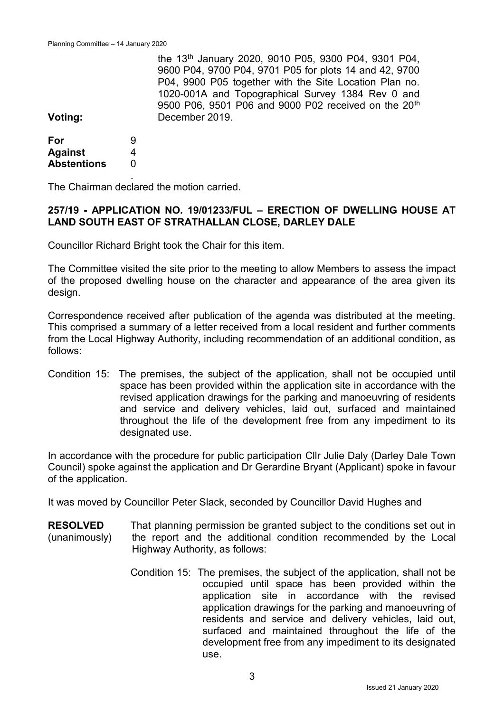|                |   | the 13 <sup>th</sup> January 2020, 9010 P05, 9300 P04, 9301 P04, |
|----------------|---|------------------------------------------------------------------|
|                |   | 9600 P04, 9700 P04, 9701 P05 for plots 14 and 42, 9700           |
|                |   | P04, 9900 P05 together with the Site Location Plan no.           |
|                |   | 1020-001A and Topographical Survey 1384 Rev 0 and                |
|                |   | 9500 P06, 9501 P06 and 9000 P02 received on the 20 <sup>th</sup> |
| Voting:        |   | December 2019.                                                   |
| For            | 9 |                                                                  |
| <b>Against</b> |   |                                                                  |

 $\Omega$ . The Chairman declared the motion carried.

**Abstentions**

### **257/19 - APPLICATION NO. 19/01233/FUL – ERECTION OF DWELLING HOUSE AT LAND SOUTH EAST OF STRATHALLAN CLOSE, DARLEY DALE**

Councillor Richard Bright took the Chair for this item.

The Committee visited the site prior to the meeting to allow Members to assess the impact of the proposed dwelling house on the character and appearance of the area given its design.

Correspondence received after publication of the agenda was distributed at the meeting. This comprised a summary of a letter received from a local resident and further comments from the Local Highway Authority, including recommendation of an additional condition, as follows:

Condition 15: The premises, the subject of the application, shall not be occupied until space has been provided within the application site in accordance with the revised application drawings for the parking and manoeuvring of residents and service and delivery vehicles, laid out, surfaced and maintained throughout the life of the development free from any impediment to its designated use.

In accordance with the procedure for public participation Cllr Julie Daly (Darley Dale Town Council) spoke against the application and Dr Gerardine Bryant (Applicant) spoke in favour of the application.

It was moved by Councillor Peter Slack, seconded by Councillor David Hughes and

- **RESOLVED** (unanimously) That planning permission be granted subject to the conditions set out in the report and the additional condition recommended by the Local Highway Authority, as follows:
	- Condition 15: The premises, the subject of the application, shall not be occupied until space has been provided within the application site in accordance with the revised application drawings for the parking and manoeuvring of residents and service and delivery vehicles, laid out, surfaced and maintained throughout the life of the development free from any impediment to its designated use.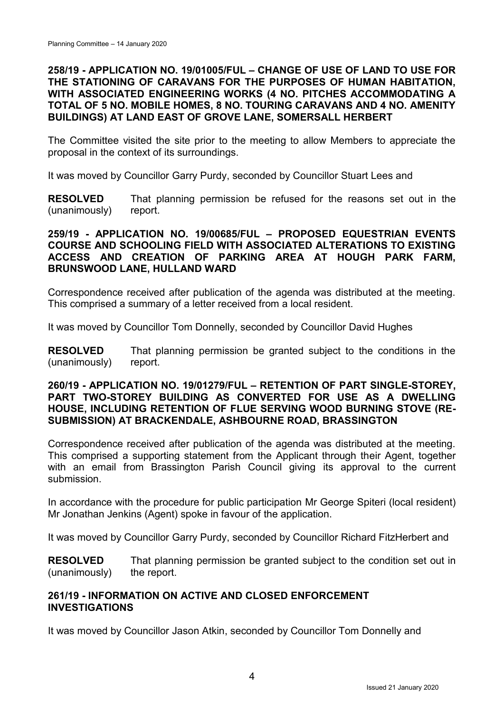## **258/19 - APPLICATION NO. 19/01005/FUL – CHANGE OF USE OF LAND TO USE FOR THE STATIONING OF CARAVANS FOR THE PURPOSES OF HUMAN HABITATION, WITH ASSOCIATED ENGINEERING WORKS (4 NO. PITCHES ACCOMMODATING A TOTAL OF 5 NO. MOBILE HOMES, 8 NO. TOURING CARAVANS AND 4 NO. AMENITY BUILDINGS) AT LAND EAST OF GROVE LANE, SOMERSALL HERBERT**

The Committee visited the site prior to the meeting to allow Members to appreciate the proposal in the context of its surroundings.

It was moved by Councillor Garry Purdy, seconded by Councillor Stuart Lees and

**RESOLVED** (unanimously) That planning permission be refused for the reasons set out in the report.

## **259/19 - APPLICATION NO. 19/00685/FUL – PROPOSED EQUESTRIAN EVENTS COURSE AND SCHOOLING FIELD WITH ASSOCIATED ALTERATIONS TO EXISTING ACCESS AND CREATION OF PARKING AREA AT HOUGH PARK FARM, BRUNSWOOD LANE, HULLAND WARD**

Correspondence received after publication of the agenda was distributed at the meeting. This comprised a summary of a letter received from a local resident.

It was moved by Councillor Tom Donnelly, seconded by Councillor David Hughes

**RESOLVED** (unanimously) That planning permission be granted subject to the conditions in the report.

### **260/19 - APPLICATION NO. 19/01279/FUL – RETENTION OF PART SINGLE-STOREY, PART TWO-STOREY BUILDING AS CONVERTED FOR USE AS A DWELLING HOUSE, INCLUDING RETENTION OF FLUE SERVING WOOD BURNING STOVE (RE-SUBMISSION) AT BRACKENDALE, ASHBOURNE ROAD, BRASSINGTON**

Correspondence received after publication of the agenda was distributed at the meeting. This comprised a supporting statement from the Applicant through their Agent, together with an email from Brassington Parish Council giving its approval to the current submission.

In accordance with the procedure for public participation Mr George Spiteri (local resident) Mr Jonathan Jenkins (Agent) spoke in favour of the application.

It was moved by Councillor Garry Purdy, seconded by Councillor Richard FitzHerbert and

**RESOLVED** (unanimously) That planning permission be granted subject to the condition set out in the report.

## **261/19 - INFORMATION ON ACTIVE AND CLOSED ENFORCEMENT INVESTIGATIONS**

It was moved by Councillor Jason Atkin, seconded by Councillor Tom Donnelly and